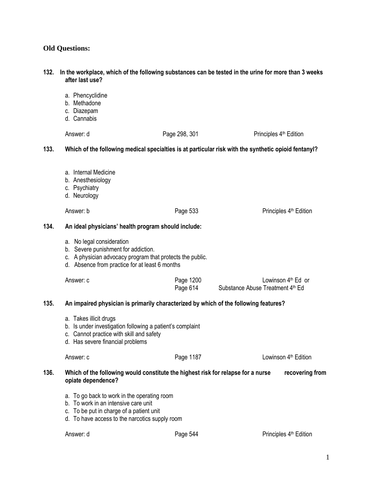## **Old Questions:**

# **after last use?**  a. Phencyclidine b. Methadone c. Diazepam d. Cannabis Answer: d Page 298, 301 Principles 4<sup>th</sup> Edition **133. Which of the following medical specialties is at particular risk with the synthetic opioid fentanyl?**  a. Internal Medicine b. Anesthesiology c. Psychiatry d. Neurology Answer: b **Page 533** Page 533 Principles 4<sup>th</sup> Edition **134. An ideal physicians' health program should include:** a. No legal consideration b. Severe punishment for addiction. c. A physician advocacy program that protects the public. d. Absence from practice for at least 6 months

**132. In the workplace, which of the following substances can be tested in the urine for more than 3 weeks** 

| Answer: c | Page 1200 | Lowinson $4th$ Ed or             |
|-----------|-----------|----------------------------------|
|           | Page 614  | Substance Abuse Treatment 4th Ed |

#### **135. An impaired physician is primarily characterized by which of the following features?**

- a. Takes illicit drugs
- b. Is under investigation following a patient's complaint
- c. Cannot practice with skill and safety
- d. Has severe financial problems

| Answer: c | Page 1187 | Lowinson 4 <sup>th</sup> Edition |  |
|-----------|-----------|----------------------------------|--|
|           |           |                                  |  |

### **136. Which of the following would constitute the highest risk for relapse for a nurse recovering from opiate dependence?**

- a. To go back to work in the operating room
- b. To work in an intensive care unit
- c. To be put in charge of a patient unit
- d. To have access to the narcotics supply room

Answer: d **Answer:** d **Page 544** Principles 4<sup>th</sup> Edition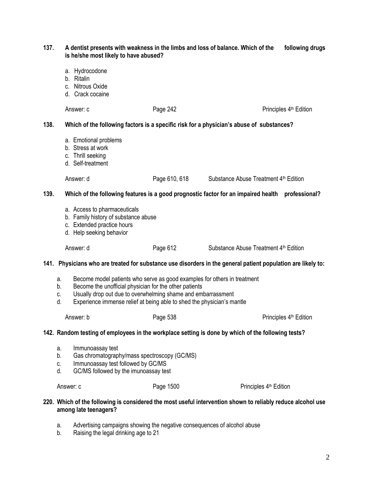| 137. | A dentist presents with weakness in the limbs and loss of balance. Which of the<br>following drugs<br>is he/she most likely to have abused?                                                                                                                                                          |                                                                                                                                                 |               |                                                                                                             |                                    |
|------|------------------------------------------------------------------------------------------------------------------------------------------------------------------------------------------------------------------------------------------------------------------------------------------------------|-------------------------------------------------------------------------------------------------------------------------------------------------|---------------|-------------------------------------------------------------------------------------------------------------|------------------------------------|
|      |                                                                                                                                                                                                                                                                                                      | a. Hydrocodone<br>b. Ritalin<br>c. Nitrous Oxide<br>d. Crack cocaine                                                                            |               |                                                                                                             |                                    |
|      |                                                                                                                                                                                                                                                                                                      | Answer: c                                                                                                                                       | Page 242      |                                                                                                             | Principles 4 <sup>th</sup> Edition |
| 138. | Which of the following factors is a specific risk for a physician's abuse of substances?                                                                                                                                                                                                             |                                                                                                                                                 |               |                                                                                                             |                                    |
|      |                                                                                                                                                                                                                                                                                                      | a. Emotional problems<br>b. Stress at work<br>c. Thrill seeking<br>d. Self-treatment                                                            |               |                                                                                                             |                                    |
|      |                                                                                                                                                                                                                                                                                                      | Answer: d                                                                                                                                       | Page 610, 618 | Substance Abuse Treatment 4 <sup>th</sup> Edition                                                           |                                    |
| 139. | Which of the following features is a good prognostic factor for an impaired health professional?                                                                                                                                                                                                     |                                                                                                                                                 |               |                                                                                                             |                                    |
|      |                                                                                                                                                                                                                                                                                                      | a. Access to pharmaceuticals<br>b. Family history of substance abuse<br>c. Extended practice hours<br>d. Help seeking behavior                  |               |                                                                                                             |                                    |
|      |                                                                                                                                                                                                                                                                                                      | Answer: d                                                                                                                                       | Page 612      | Substance Abuse Treatment 4 <sup>th</sup> Edition                                                           |                                    |
|      | 141. Physicians who are treated for substance use disorders in the general patient population are likely to:                                                                                                                                                                                         |                                                                                                                                                 |               |                                                                                                             |                                    |
|      | Become model patients who serve as good examples for others in treatment<br>a.<br>Become the unofficial physician for the other patients<br>b.<br>Usually drop out due to overwhelming shame and embarrassment<br>C.<br>Experience immense relief at being able to shed the physician's mantle<br>d. |                                                                                                                                                 |               |                                                                                                             |                                    |
|      |                                                                                                                                                                                                                                                                                                      | Answer: b                                                                                                                                       | Page 538      |                                                                                                             | Principles 4 <sup>th</sup> Edition |
|      | 142. Random testing of employees in the workplace setting is done by which of the following tests?                                                                                                                                                                                                   |                                                                                                                                                 |               |                                                                                                             |                                    |
|      | а.<br>b.<br>C.<br>d.                                                                                                                                                                                                                                                                                 | Immunoassay test<br>Gas chromatography/mass spectroscopy (GC/MS)<br>Immunoassay test followed by GC/MS<br>GC/MS followed by the imunoassay test |               |                                                                                                             |                                    |
|      | Answer: c                                                                                                                                                                                                                                                                                            |                                                                                                                                                 | Page 1500     | Principles 4 <sup>th</sup> Edition                                                                          |                                    |
|      |                                                                                                                                                                                                                                                                                                      | among late teenagers?                                                                                                                           |               | 220. Which of the following is considered the most useful intervention shown to reliably reduce alcohol use |                                    |

- a. Advertising campaigns showing the negative consequences of alcohol abuse
- b. Raising the legal drinking age to 21